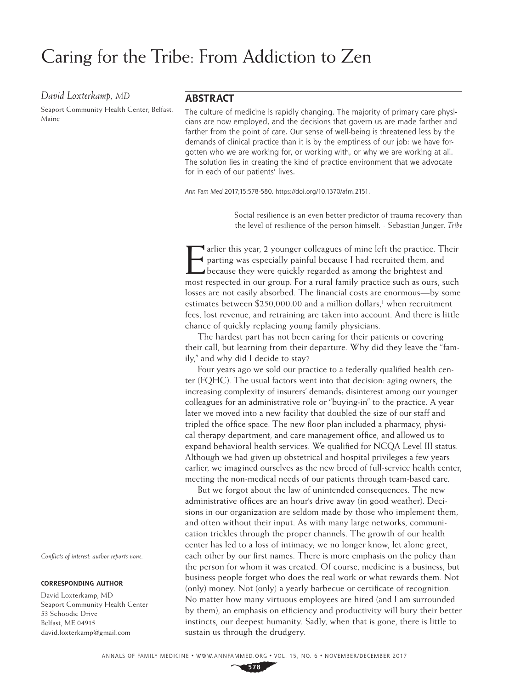*David Loxterkamp, MD*

Seaport Community Health Center, Belfast, Maine

## **ABSTRACT**

The culture of medicine is rapidly changing. The majority of primary care physicians are now employed, and the decisions that govern us are made farther and farther from the point of care. Our sense of well-being is threatened less by the demands of clinical practice than it is by the emptiness of our job: we have forgotten who we are working for, or working with, or why we are working at all. The solution lies in creating the kind of practice environment that we advocate for in each of our patients' lives.

*Ann Fam Med* 2017;15:578-580. [https://doi.org/10.1370/afm.2151.](https://doi.org/10.1370/afm.2151)

Social resilience is an even better predictor of trauma recovery than the level of resilience of the person himself. - Sebastian Junger, *Tribe*

Farlier this year, 2 younger colleagues of mine left the practice. Their<br>parting was especially painful because I had recruited them, and<br>because they were quickly regarded as among the brightest and<br>most respected in our arlier this year, 2 younger colleagues of mine left the practice. Their parting was especially painful because I had recruited them, and because they were quickly regarded as among the brightest and losses are not easily absorbed. The financial costs are enormous—by some estimates between  $$250,000.00$  and a million dollars,<sup>1</sup> when recruitment fees, lost revenue, and retraining are taken into account. And there is little chance of quickly replacing young family physicians.

The hardest part has not been caring for their patients or covering their call, but learning from their departure. Why did they leave the "family," and why did I decide to stay?

Four years ago we sold our practice to a federally qualified health center (FQHC). The usual factors went into that decision: aging owners, the increasing complexity of insurers' demands; disinterest among our younger colleagues for an administrative role or "buying-in" to the practice. A year later we moved into a new facility that doubled the size of our staff and tripled the office space. The new floor plan included a pharmacy, physical therapy department, and care management office, and allowed us to expand behavioral health services. We qualified for NCQA Level III status. Although we had given up obstetrical and hospital privileges a few years earlier, we imagined ourselves as the new breed of full-service health center, meeting the non-medical needs of our patients through team-based care.

But we forgot about the law of unintended consequences. The new administrative offices are an hour's drive away (in good weather). Decisions in our organization are seldom made by those who implement them, and often without their input. As with many large networks, communication trickles through the proper channels. The growth of our health center has led to a loss of intimacy; we no longer know, let alone greet, each other by our first names. There is more emphasis on the policy than the person for whom it was created. Of course, medicine is a business, but business people forget who does the real work or what rewards them. Not (only) money. Not (only) a yearly barbecue or certificate of recognition. No matter how many virtuous employees are hired (and I am surrounded by them), an emphasis on efficiency and productivity will bury their better instincts, our deepest humanity. Sadly, when that is gone, there is little to sustain us through the drudgery.

*Conflicts of interest: author reports none.*

## **CORRESPONDING AUTHOR**

David Loxterkamp, MD Seaport Community Health Center 53 Schoodic Drive Belfast, ME 04915 [david.loxterkamp@gmail.com](mailto:david.loxterkamp@gmail.com)

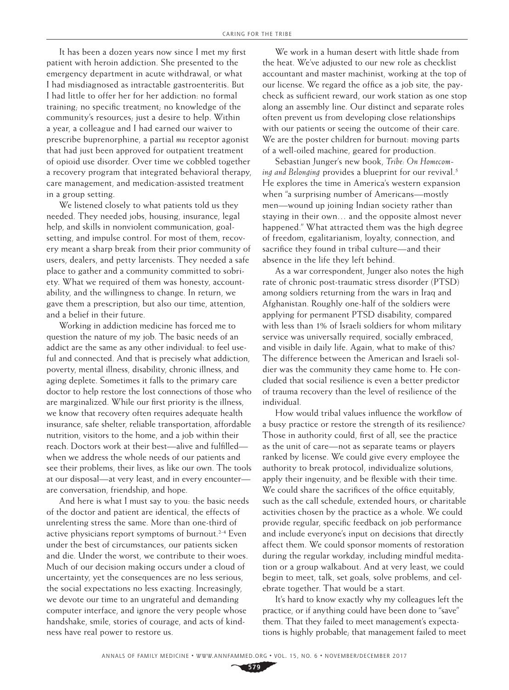It has been a dozen years now since I met my first patient with heroin addiction. She presented to the emergency department in acute withdrawal, or what I had misdiagnosed as intractable gastroenteritis. But I had little to offer her for her addiction: no formal training; no specific treatment; no knowledge of the community's resources; just a desire to help. Within a year, a colleague and I had earned our waiver to prescribe buprenorphine, a partial *mu* receptor agonist that had just been approved for outpatient treatment of opioid use disorder. Over time we cobbled together a recovery program that integrated behavioral therapy, care management, and medication-assisted treatment in a group setting.

We listened closely to what patients told us they needed. They needed jobs, housing, insurance, legal help, and skills in nonviolent communication, goalsetting, and impulse control. For most of them, recovery meant a sharp break from their prior community of users, dealers, and petty larcenists. They needed a safe place to gather and a community committed to sobriety. What we required of them was honesty, accountability, and the willingness to change. In return, we gave them a prescription, but also our time, attention, and a belief in their future.

Working in addiction medicine has forced me to question the nature of my job. The basic needs of an addict are the same as any other individual: to feel useful and connected. And that is precisely what addiction, poverty, mental illness, disability, chronic illness, and aging deplete. Sometimes it falls to the primary care doctor to help restore the lost connections of those who are marginalized. While our first priority is the illness, we know that recovery often requires adequate health insurance, safe shelter, reliable transportation, affordable nutrition, visitors to the home, and a job within their reach. Doctors work at their best—alive and fulfilled when we address the whole needs of our patients and see their problems, their lives, as like our own. The tools at our disposal—at very least, and in every encounter are conversation, friendship, and hope.

And here is what I must say to you: the basic needs of the doctor and patient are identical, the effects of unrelenting stress the same. More than one-third of active physicians report symptoms of burnout.<sup>2-4</sup> Even under the best of circumstances, our patients sicken and die. Under the worst, we contribute to their woes. Much of our decision making occurs under a cloud of uncertainty, yet the consequences are no less serious, the social expectations no less exacting. Increasingly, we devote our time to an ungrateful and demanding computer interface, and ignore the very people whose handshake, smile, stories of courage, and acts of kindness have real power to restore us.

We work in a human desert with little shade from the heat. We've adjusted to our new role as checklist accountant and master machinist, working at the top of our license. We regard the office as a job site, the paycheck as sufficient reward, our work station as one stop along an assembly line. Our distinct and separate roles often prevent us from developing close relationships with our patients or seeing the outcome of their care. We are the poster children for burnout: moving parts of a well-oiled machine, geared for production.

Sebastian Junger's new book, *Tribe: On Homecoming and Belonging* provides a blueprint for our revival.5 He explores the time in America's western expansion when "a surprising number of Americans—mostly men—wound up joining Indian society rather than staying in their own… and the opposite almost never happened." What attracted them was the high degree of freedom, egalitarianism, loyalty, connection, and sacrifice they found in tribal culture—and their absence in the life they left behind.

As a war correspondent, Junger also notes the high rate of chronic post-traumatic stress disorder (PTSD) among soldiers returning from the wars in Iraq and Afghanistan. Roughly one-half of the soldiers were applying for permanent PTSD disability, compared with less than 1% of Israeli soldiers for whom military service was universally required, socially embraced, and visible in daily life. Again, what to make of this? The difference between the American and Israeli soldier was the community they came home to. He concluded that social resilience is even a better predictor of trauma recovery than the level of resilience of the individual.

How would tribal values influence the workflow of a busy practice or restore the strength of its resilience? Those in authority could, first of all, see the practice as the unit of care—not as separate teams or players ranked by license. We could give every employee the authority to break protocol, individualize solutions, apply their ingenuity, and be flexible with their time. We could share the sacrifices of the office equitably, such as the call schedule, extended hours, or charitable activities chosen by the practice as a whole. We could provide regular, specific feedback on job performance and include everyone's input on decisions that directly affect them. We could sponsor moments of restoration during the regular workday, including mindful meditation or a group walkabout. And at very least, we could begin to meet, talk, set goals, solve problems, and celebrate together. That would be a start.

It's hard to know exactly why my colleagues left the practice, or if anything could have been done to "save" them. That they failed to meet management's expectations is highly probable; that management failed to meet